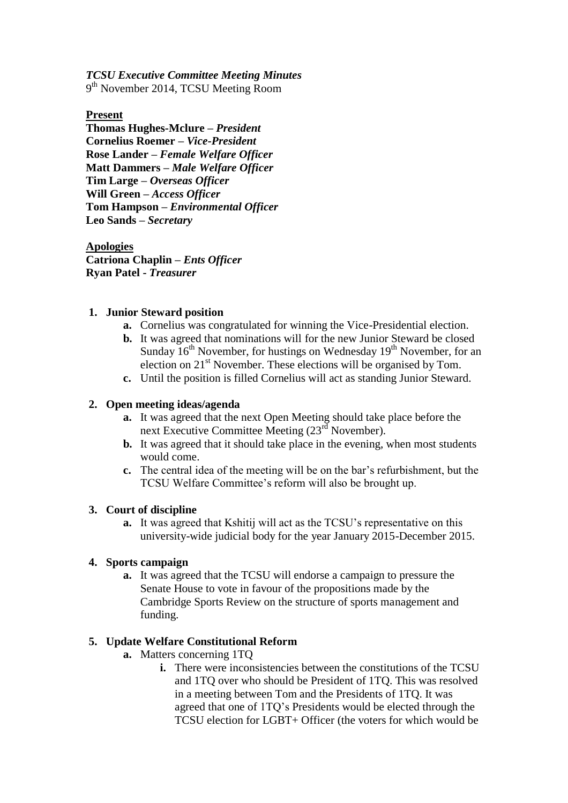*TCSU Executive Committee Meeting Minutes* 9<sup>th</sup> November 2014, TCSU Meeting Room

**Present**

**Thomas Hughes-Mclure –** *President* **Cornelius Roemer –** *Vice-President* **Rose Lander –** *Female Welfare Officer* **Matt Dammers –** *Male Welfare Officer* **Tim Large –** *Overseas Officer* **Will Green –** *Access Officer* **Tom Hampson –** *Environmental Officer* **Leo Sands –** *Secretary* 

**Apologies Catriona Chaplin –** *Ents Officer* **Ryan Patel -** *Treasurer*

### **1. Junior Steward position**

- **a.** Cornelius was congratulated for winning the Vice-Presidential election.
- **b.** It was agreed that nominations will for the new Junior Steward be closed Sunday  $16<sup>th</sup>$  November, for hustings on Wednesday  $19<sup>th</sup>$  November, for an election on 21<sup>st</sup> November. These elections will be organised by Tom.
- **c.** Until the position is filled Cornelius will act as standing Junior Steward.

#### **2. Open meeting ideas/agenda**

- **a.** It was agreed that the next Open Meeting should take place before the next Executive Committee Meeting (23<sup>rd</sup> November).
- **b.** It was agreed that it should take place in the evening, when most students would come.
- **c.** The central idea of the meeting will be on the bar's refurbishment, but the TCSU Welfare Committee's reform will also be brought up.

#### **3. Court of discipline**

**a.** It was agreed that Kshitij will act as the TCSU's representative on this university-wide judicial body for the year January 2015-December 2015.

### **4. Sports campaign**

**a.** It was agreed that the TCSU will endorse a campaign to pressure the Senate House to vote in favour of the propositions made by the Cambridge Sports Review on the structure of sports management and funding.

## **5. Update Welfare Constitutional Reform**

- **a.** Matters concerning 1TQ
	- **i.** There were inconsistencies between the constitutions of the TCSU and 1TQ over who should be President of 1TQ. This was resolved in a meeting between Tom and the Presidents of 1TQ. It was agreed that one of 1TQ's Presidents would be elected through the TCSU election for LGBT+ Officer (the voters for which would be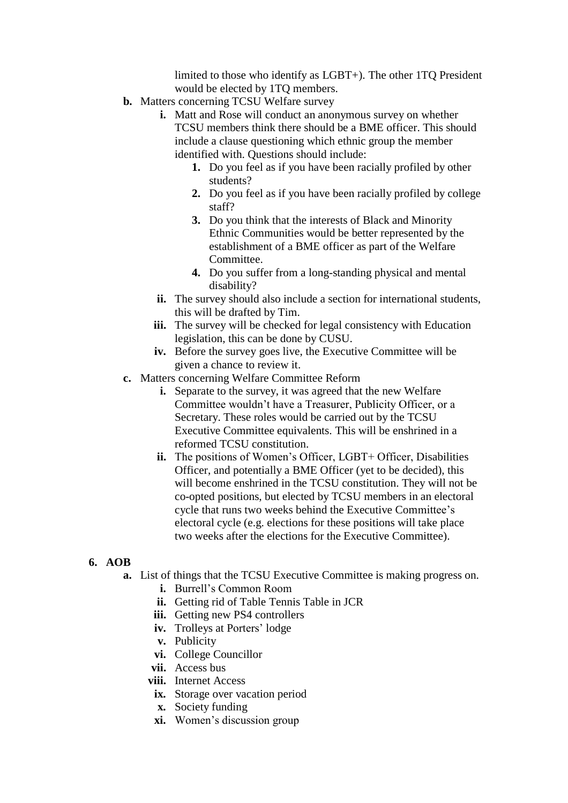limited to those who identify as LGBT+). The other 1TQ President would be elected by 1TQ members.

- **b.** Matters concerning TCSU Welfare survey
	- **i.** Matt and Rose will conduct an anonymous survey on whether TCSU members think there should be a BME officer. This should include a clause questioning which ethnic group the member identified with. Questions should include:
		- **1.** Do you feel as if you have been racially profiled by other students?
		- **2.** Do you feel as if you have been racially profiled by college staff?
		- **3.** Do you think that the interests of Black and Minority Ethnic Communities would be better represented by the establishment of a BME officer as part of the Welfare Committee.
		- **4.** Do you suffer from a long-standing physical and mental disability?
	- **ii.** The survey should also include a section for international students, this will be drafted by Tim.
	- **iii.** The survey will be checked for legal consistency with Education legislation, this can be done by CUSU.
	- **iv.** Before the survey goes live, the Executive Committee will be given a chance to review it.
- **c.** Matters concerning Welfare Committee Reform
	- **i.** Separate to the survey, it was agreed that the new Welfare Committee wouldn't have a Treasurer, Publicity Officer, or a Secretary. These roles would be carried out by the TCSU Executive Committee equivalents. This will be enshrined in a reformed TCSU constitution.
	- **ii.** The positions of Women's Officer, LGBT+ Officer, Disabilities Officer, and potentially a BME Officer (yet to be decided), this will become enshrined in the TCSU constitution. They will not be co-opted positions, but elected by TCSU members in an electoral cycle that runs two weeks behind the Executive Committee's electoral cycle (e.g. elections for these positions will take place two weeks after the elections for the Executive Committee).

# **6. AOB**

- **a.** List of things that the TCSU Executive Committee is making progress on.
	- **i.** Burrell's Common Room
	- **ii.** Getting rid of Table Tennis Table in JCR
	- **iii.** Getting new PS4 controllers
	- **iv.** Trolleys at Porters' lodge
	- **v.** Publicity
	- **vi.** College Councillor
	- **vii.** Access bus
	- **viii.** Internet Access
		- **ix.** Storage over vacation period
		- **x.** Society funding
		- **xi.** Women's discussion group